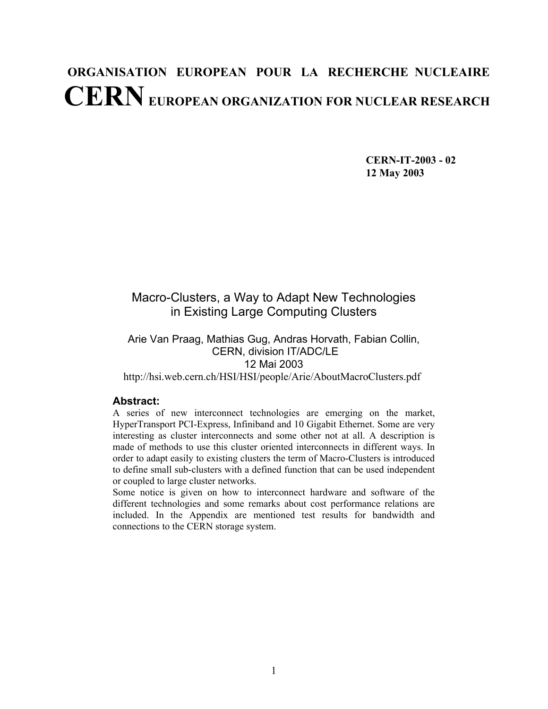# **ORGANISATION EUROPEAN POUR LA RECHERCHE NUCLEAIRE CERN EUROPEAN ORGANIZATION FOR NUCLEAR RESEARCH**

 **CERN-IT-2003 - 02 12 May 2003** 

## Macro-Clusters, a Way to Adapt New Technologies in Existing Large Computing Clusters

## Arie Van Praag, Mathias Gug, Andras Horvath, Fabian Collin, CERN, division IT/ADC/LE 12 Mai 2003

http://hsi.web.cern.ch/HSI/HSI/people/Arie/AboutMacroClusters.pdf

#### **Abstract:**

A series of new interconnect technologies are emerging on the market, HyperTransport PCI-Express, Infiniband and 10 Gigabit Ethernet. Some are very interesting as cluster interconnects and some other not at all. A description is made of methods to use this cluster oriented interconnects in different ways. In order to adapt easily to existing clusters the term of Macro-Clusters is introduced to define small sub-clusters with a defined function that can be used independent or coupled to large cluster networks.

Some notice is given on how to interconnect hardware and software of the different technologies and some remarks about cost performance relations are included. In the Appendix are mentioned test results for bandwidth and connections to the CERN storage system.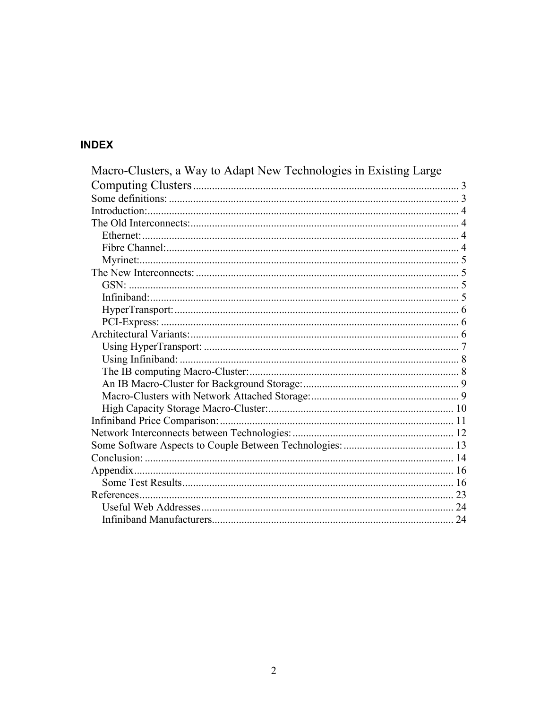## **INDEX**

| Macro-Clusters, a Way to Adapt New Technologies in Existing Large |  |
|-------------------------------------------------------------------|--|
|                                                                   |  |
|                                                                   |  |
|                                                                   |  |
|                                                                   |  |
|                                                                   |  |
|                                                                   |  |
|                                                                   |  |
|                                                                   |  |
|                                                                   |  |
|                                                                   |  |
|                                                                   |  |
|                                                                   |  |
|                                                                   |  |
|                                                                   |  |
|                                                                   |  |
|                                                                   |  |
|                                                                   |  |
|                                                                   |  |
|                                                                   |  |
|                                                                   |  |
|                                                                   |  |
|                                                                   |  |
|                                                                   |  |
|                                                                   |  |
|                                                                   |  |
|                                                                   |  |
|                                                                   |  |
|                                                                   |  |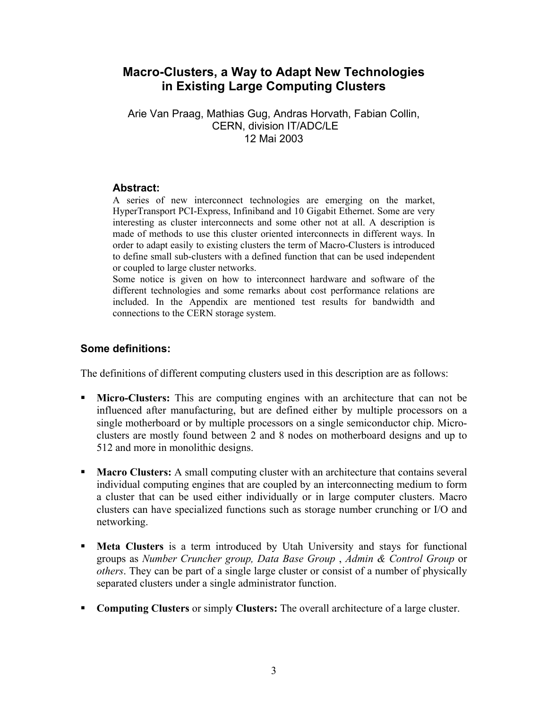## **Macro-Clusters, a Way to Adapt New Technologies in Existing Large Computing Clusters**

Arie Van Praag, Mathias Gug, Andras Horvath, Fabian Collin, CERN, division IT/ADC/LE 12 Mai 2003

#### **Abstract:**

A series of new interconnect technologies are emerging on the market, HyperTransport PCI-Express, Infiniband and 10 Gigabit Ethernet. Some are very interesting as cluster interconnects and some other not at all. A description is made of methods to use this cluster oriented interconnects in different ways. In order to adapt easily to existing clusters the term of Macro-Clusters is introduced to define small sub-clusters with a defined function that can be used independent or coupled to large cluster networks.

Some notice is given on how to interconnect hardware and software of the different technologies and some remarks about cost performance relations are included. In the Appendix are mentioned test results for bandwidth and connections to the CERN storage system.

## **Some definitions:**

The definitions of different computing clusters used in this description are as follows:

- **Micro-Clusters:** This are computing engines with an architecture that can not be influenced after manufacturing, but are defined either by multiple processors on a single motherboard or by multiple processors on a single semiconductor chip. Microclusters are mostly found between 2 and 8 nodes on motherboard designs and up to 512 and more in monolithic designs.
- **Macro Clusters:** A small computing cluster with an architecture that contains several individual computing engines that are coupled by an interconnecting medium to form a cluster that can be used either individually or in large computer clusters. Macro clusters can have specialized functions such as storage number crunching or I/O and networking.
- **Meta Clusters** is a term introduced by Utah University and stays for functional groups as *Number Cruncher group, Data Base Group* , *Admin & Control Group* or *others*. They can be part of a single large cluster or consist of a number of physically separated clusters under a single administrator function.
- **Computing Clusters** or simply **Clusters:** The overall architecture of a large cluster.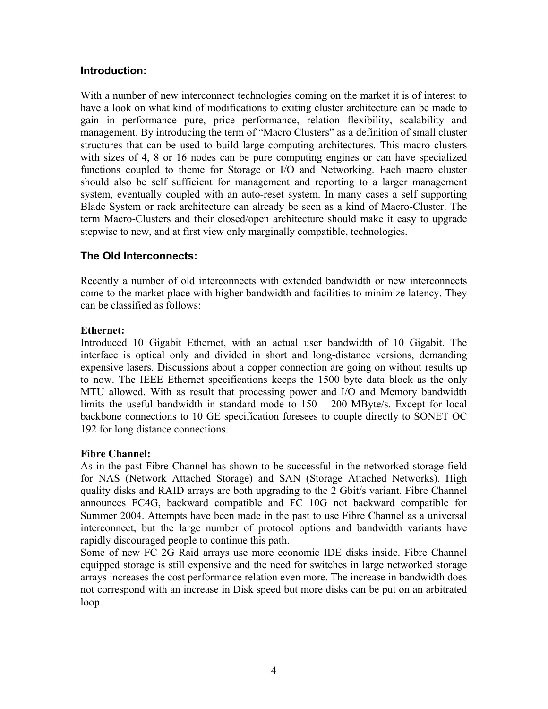#### **Introduction:**

With a number of new interconnect technologies coming on the market it is of interest to have a look on what kind of modifications to exiting cluster architecture can be made to gain in performance pure, price performance, relation flexibility, scalability and management. By introducing the term of "Macro Clusters" as a definition of small cluster structures that can be used to build large computing architectures. This macro clusters with sizes of 4, 8 or 16 nodes can be pure computing engines or can have specialized functions coupled to theme for Storage or I/O and Networking. Each macro cluster should also be self sufficient for management and reporting to a larger management system, eventually coupled with an auto-reset system. In many cases a self supporting Blade System or rack architecture can already be seen as a kind of Macro-Cluster. The term Macro-Clusters and their closed/open architecture should make it easy to upgrade stepwise to new, and at first view only marginally compatible, technologies.

#### **The Old Interconnects:**

Recently a number of old interconnects with extended bandwidth or new interconnects come to the market place with higher bandwidth and facilities to minimize latency. They can be classified as follows:

#### **Ethernet:**

Introduced 10 Gigabit Ethernet, with an actual user bandwidth of 10 Gigabit. The interface is optical only and divided in short and long-distance versions, demanding expensive lasers. Discussions about a copper connection are going on without results up to now. The IEEE Ethernet specifications keeps the 1500 byte data block as the only MTU allowed. With as result that processing power and I/O and Memory bandwidth limits the useful bandwidth in standard mode to 150 – 200 MByte/s. Except for local backbone connections to 10 GE specification foresees to couple directly to SONET OC 192 for long distance connections.

#### **Fibre Channel:**

As in the past Fibre Channel has shown to be successful in the networked storage field for NAS (Network Attached Storage) and SAN (Storage Attached Networks). High quality disks and RAID arrays are both upgrading to the 2 Gbit/s variant. Fibre Channel announces FC4G, backward compatible and FC 10G not backward compatible for Summer 2004. Attempts have been made in the past to use Fibre Channel as a universal interconnect, but the large number of protocol options and bandwidth variants have rapidly discouraged people to continue this path.

Some of new FC 2G Raid arrays use more economic IDE disks inside. Fibre Channel equipped storage is still expensive and the need for switches in large networked storage arrays increases the cost performance relation even more. The increase in bandwidth does not correspond with an increase in Disk speed but more disks can be put on an arbitrated loop.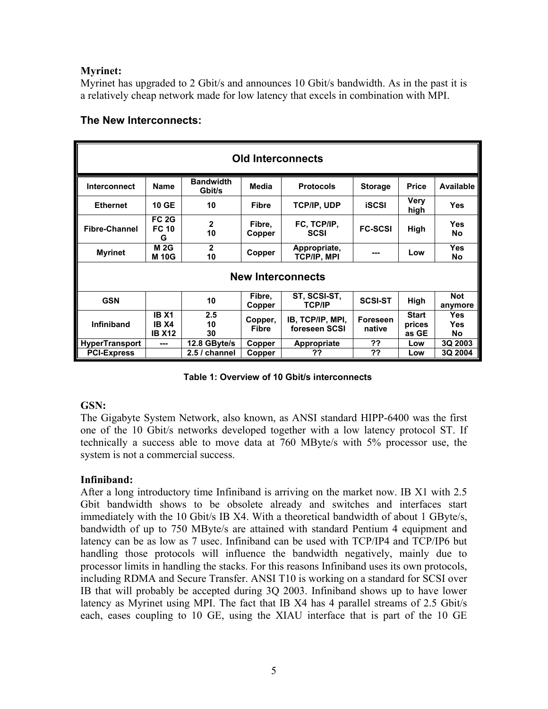#### **Myrinet:**

Myrinet has upgraded to 2 Gbit/s and announces 10 Gbit/s bandwidth. As in the past it is a relatively cheap network made for low latency that excels in combination with MPI.

| <b>Old Interconnects</b> |                                               |                            |                         |                                    |                           |                                 |                                       |
|--------------------------|-----------------------------------------------|----------------------------|-------------------------|------------------------------------|---------------------------|---------------------------------|---------------------------------------|
| <b>Interconnect</b>      | <b>Name</b>                                   | <b>Bandwidth</b><br>Gbit/s | Media                   | <b>Protocols</b>                   | <b>Storage</b>            | <b>Price</b>                    | Available                             |
| <b>Ethernet</b>          | <b>10 GE</b>                                  | 10                         | <b>Fibre</b>            | <b>TCP/IP, UDP</b>                 | <b>iSCSI</b>              | <b>Very</b><br>high             | <b>Yes</b>                            |
| <b>Fibre-Channel</b>     | <b>FC 2G</b><br><b>FC 10</b><br>G             | $\mathbf{2}$<br>10         | Fibre,<br>Copper        | FC, TCP/IP,<br><b>SCSI</b>         | <b>FC-SCSI</b>            | High                            | <b>Yes</b><br><b>No</b>               |
| <b>Myrinet</b>           | <b>M2G</b><br><b>M10G</b>                     | $\mathbf{2}$<br>10         | Copper                  | Appropriate,<br><b>TCP/IP, MPI</b> | ---                       | Low                             | <b>Yes</b><br>No                      |
| <b>New Interconnects</b> |                                               |                            |                         |                                    |                           |                                 |                                       |
| <b>GSN</b>               |                                               | 10                         | Fibre,<br>Copper        | ST, SCSI-ST,<br><b>TCP/IP</b>      | <b>SCSI-ST</b>            | High                            | <b>Not</b><br>anymore                 |
| <b>Infiniband</b>        | <b>IB X1</b><br><b>IB X4</b><br><b>IB X12</b> | 2.5<br>10<br>30            | Copper,<br><b>Fibre</b> | IB, TCP/IP, MPI,<br>foreseen SCSI  | <b>Foreseen</b><br>native | <b>Start</b><br>prices<br>as GE | <b>Yes</b><br><b>Yes</b><br><b>No</b> |
| <b>HyperTransport</b>    | ---                                           | 12.8 GByte/s               | Copper                  | <b>Appropriate</b>                 | ??                        | Low                             | 3Q 2003                               |
| <b>PCI-Express</b>       |                                               | 2.5 / channel              | Copper                  | ??                                 | ??                        | Low                             | 3Q 2004                               |

## **The New Interconnects:**

**Table 1: Overview of 10 Gbit/s interconnects** 

#### **GSN:**

The Gigabyte System Network, also known, as ANSI standard HIPP-6400 was the first one of the 10 Gbit/s networks developed together with a low latency protocol ST. If technically a success able to move data at 760 MByte/s with 5% processor use, the system is not a commercial success.

#### **Infiniband:**

After a long introductory time Infiniband is arriving on the market now. IB X1 with 2.5 Gbit bandwidth shows to be obsolete already and switches and interfaces start immediately with the 10 Gbit/s IB X4. With a theoretical bandwidth of about 1 GByte/s, bandwidth of up to 750 MByte/s are attained with standard Pentium 4 equipment and latency can be as low as 7 usec. Infiniband can be used with TCP/IP4 and TCP/IP6 but handling those protocols will influence the bandwidth negatively, mainly due to processor limits in handling the stacks. For this reasons Infiniband uses its own protocols, including RDMA and Secure Transfer. ANSI T10 is working on a standard for SCSI over IB that will probably be accepted during 3Q 2003. Infiniband shows up to have lower latency as Myrinet using MPI. The fact that IB X4 has 4 parallel streams of 2.5 Gbit/s each, eases coupling to 10 GE, using the XIAU interface that is part of the 10 GE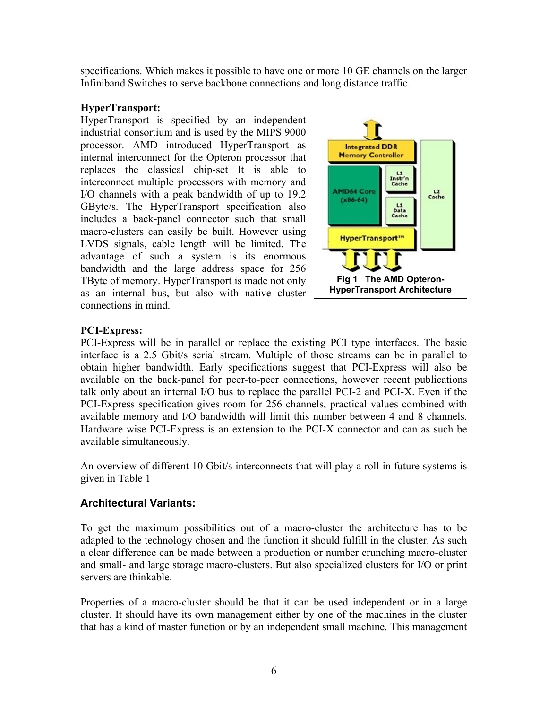specifications. Which makes it possible to have one or more 10 GE channels on the larger Infiniband Switches to serve backbone connections and long distance traffic.

#### **HyperTransport:**

HyperTransport is specified by an independent industrial consortium and is used by the MIPS 9000 processor. AMD introduced HyperTransport as internal interconnect for the Opteron processor that replaces the classical chip-set It is able to interconnect multiple processors with memory and I/O channels with a peak bandwidth of up to 19.2 GByte/s. The HyperTransport specification also includes a back-panel connector such that small macro-clusters can easily be built. However using LVDS signals, cable length will be limited. The advantage of such a system is its enormous bandwidth and the large address space for 256 TByte of memory. HyperTransport is made not only as an internal bus, but also with native cluster connections in mind.



## **PCI-Express:**

PCI-Express will be in parallel or replace the existing PCI type interfaces. The basic interface is a 2.5 Gbit/s serial stream. Multiple of those streams can be in parallel to obtain higher bandwidth. Early specifications suggest that PCI-Express will also be available on the back-panel for peer-to-peer connections, however recent publications talk only about an internal I/O bus to replace the parallel PCI-2 and PCI-X. Even if the PCI-Express specification gives room for 256 channels, practical values combined with available memory and I/O bandwidth will limit this number between 4 and 8 channels. Hardware wise PCI-Express is an extension to the PCI-X connector and can as such be available simultaneously.

An overview of different 10 Gbit/s interconnects that will play a roll in future systems is given in Table 1

## **Architectural Variants:**

To get the maximum possibilities out of a macro-cluster the architecture has to be adapted to the technology chosen and the function it should fulfill in the cluster. As such a clear difference can be made between a production or number crunching macro-cluster and small- and large storage macro-clusters. But also specialized clusters for I/O or print servers are thinkable.

Properties of a macro-cluster should be that it can be used independent or in a large cluster. It should have its own management either by one of the machines in the cluster that has a kind of master function or by an independent small machine. This management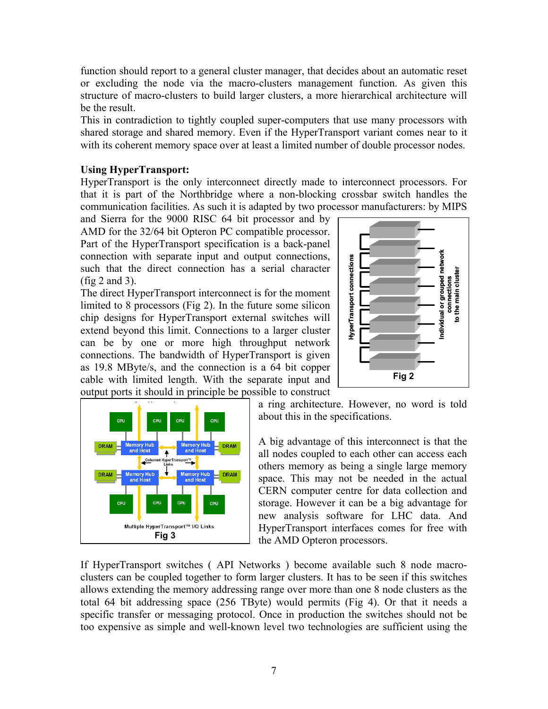function should report to a general cluster manager, that decides about an automatic reset or excluding the node via the macro-clusters management function. As given this structure of macro-clusters to build larger clusters, a more hierarchical architecture will be the result.

This in contradiction to tightly coupled super-computers that use many processors with shared storage and shared memory. Even if the HyperTransport variant comes near to it with its coherent memory space over at least a limited number of double processor nodes.

#### **Using HyperTransport:**

HyperTransport is the only interconnect directly made to interconnect processors. For that it is part of the Northbridge where a non-blocking crossbar switch handles the communication facilities. As such it is adapted by two processor manufacturers: by MIPS

and Sierra for the 9000 RISC 64 bit processor and by AMD for the 32/64 bit Opteron PC compatible processor. Part of the HyperTransport specification is a back-panel connection with separate input and output connections, such that the direct connection has a serial character (fig 2 and 3).

The direct HyperTransport interconnect is for the moment limited to 8 processors (Fig 2). In the future some silicon chip designs for HyperTransport external switches will extend beyond this limit. Connections to a larger cluster can be by one or more high throughput network connections. The bandwidth of HyperTransport is given as 19.8 MByte/s, and the connection is a 64 bit copper cable with limited length. With the separate input and output ports it should in principle be possible to construct



a ring architecture. However, no word is told about this in the specifications.

**Fig 2** 

A big advantage of this interconnect is that the all nodes coupled to each other can access each others memory as being a single large memory space. This may not be needed in the actual CERN computer centre for data collection and storage. However it can be a big advantage for new analysis software for LHC data. And HyperTransport interfaces comes for free with the AMD Opteron processors.

If HyperTransport switches ( API Networks ) become available such 8 node macroclusters can be coupled together to form larger clusters. It has to be seen if this switches allows extending the memory addressing range over more than one 8 node clusters as the total 64 bit addressing space (256 TByte) would permits (Fig 4). Or that it needs a specific transfer or messaging protocol. Once in production the switches should not be too expensive and the direct connection has a serial character<br>
In direct HyperTransport interconnection has a serial character<br>
High designs for HyperTransport interconnections well-<br>
experimented by one or more high thr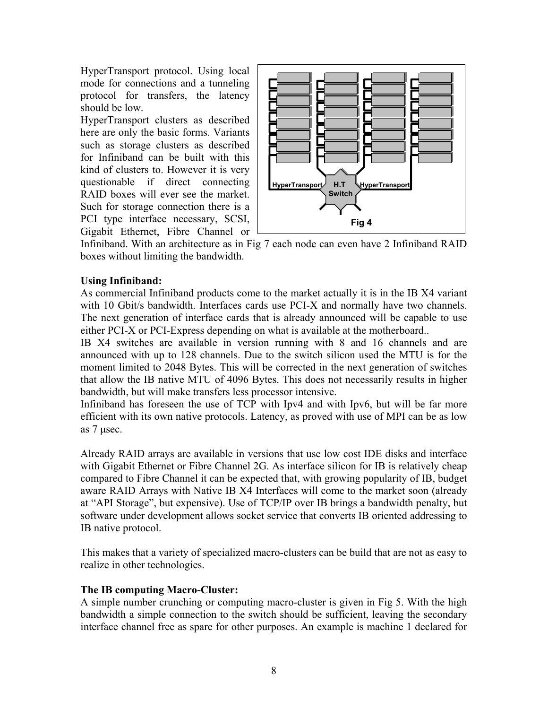HyperTransport protocol. Using local mode for connections and a tunneling protocol for transfers, the latency should be low.

HyperTransport clusters as described here are only the basic forms. Variants such as storage clusters as described for Infiniband can be built with this kind of clusters to. However it is very questionable if direct connecting RAID boxes will ever see the market. Such for storage connection there is a PCI type interface necessary, SCSI, Gigabit Ethernet, Fibre Channel or



Infiniband. With an architecture as in Fig 7 each node can even have 2 Infiniband RAID boxes without limiting the bandwidth.

## **Using Infiniband:**

As commercial Infiniband products come to the market actually it is in the IB X4 variant with 10 Gbit/s bandwidth. Interfaces cards use PCI-X and normally have two channels. The next generation of interface cards that is already announced will be capable to use either PCI-X or PCI-Express depending on what is available at the motherboard..

IB X4 switches are available in version running with 8 and 16 channels and are announced with up to 128 channels. Due to the switch silicon used the MTU is for the moment limited to 2048 Bytes. This will be corrected in the next generation of switches that allow the IB native MTU of 4096 Bytes. This does not necessarily results in higher bandwidth, but will make transfers less processor intensive.

Infiniband has foreseen the use of TCP with Ipv4 and with Ipv6, but will be far more efficient with its own native protocols. Latency, as proved with use of MPI can be as low as 7 µsec.

Already RAID arrays are available in versions that use low cost IDE disks and interface with Gigabit Ethernet or Fibre Channel 2G. As interface silicon for IB is relatively cheap compared to Fibre Channel it can be expected that, with growing popularity of IB, budget aware RAID Arrays with Native IB X4 Interfaces will come to the market soon (already at "API Storage", but expensive). Use of TCP/IP over IB brings a bandwidth penalty, but software under development allows socket service that converts IB oriented addressing to IB native protocol.

This makes that a variety of specialized macro-clusters can be build that are not as easy to realize in other technologies.

#### **The IB computing Macro-Cluster:**

A simple number crunching or computing macro-cluster is given in Fig 5. With the high bandwidth a simple connection to the switch should be sufficient, leaving the secondary interface channel free as spare for other purposes. An example is machine 1 declared for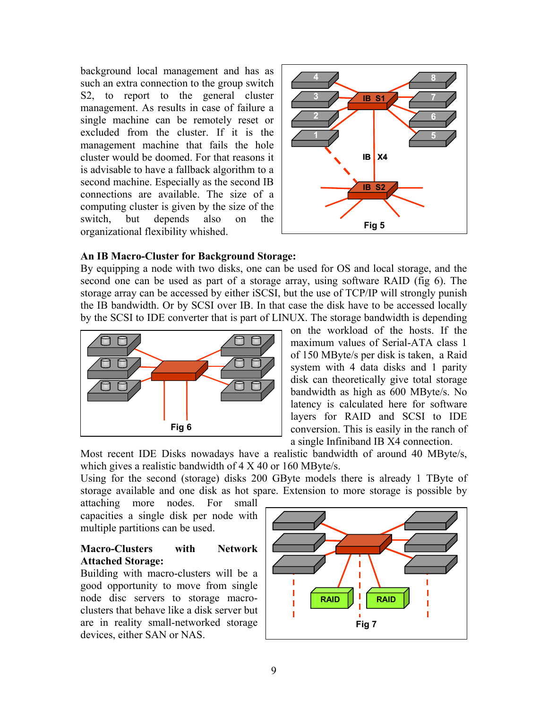background local management and has as such an extra connection to the group switch S2, to report to the general cluster management. As results in case of failure a single machine can be remotely reset or excluded from the cluster. If it is the management machine that fails the hole cluster would be doomed. For that reasons it is advisable to have a fallback algorithm to a second machine. Especially as the second IB connections are available. The size of a computing cluster is given by the size of the switch, but depends also on the organizational flexibility whished.



#### **An IB Macro-Cluster for Background Storage:**

By equipping a node with two disks, one can be used for OS and local storage, and the second one can be used as part of a storage array, using software RAID (fig 6). The storage array can be accessed by either iSCSI, but the use of TCP/IP will strongly punish the IB bandwidth. Or by SCSI over IB. In that case the disk have to be accessed locally by the SCSI to IDE converter that is part of LINUX. The storage bandwidth is depending



on the workload of the hosts. If the maximum values of Serial-ATA class 1 of 150 MByte/s per disk is taken, a Raid system with 4 data disks and 1 parity disk can theoretically give total storage bandwidth as high as 600 MByte/s. No latency is calculated here for software layers for RAID and SCSI to IDE conversion. This is easily in the ranch of a single Infiniband IB X4 connection.

Most recent IDE Disks nowadays have a realistic bandwidth of around 40 MByte/s, which gives a realistic bandwidth of 4 X 40 or 160 MByte/s.

Using for the second (storage) disks 200 GByte models there is already 1 TByte of storage available and one disk as hot spare. Extension to more storage is possible by

attaching more nodes. For small capacities a single disk per node with multiple partitions can be used.

#### **Macro-Clusters with Network Attached Storage:**

Building with macro-clusters will be a good opportunity to move from single node disc servers to storage macroclusters that behave like a disk server but are in reality small-networked storage devices, either SAN or NAS.

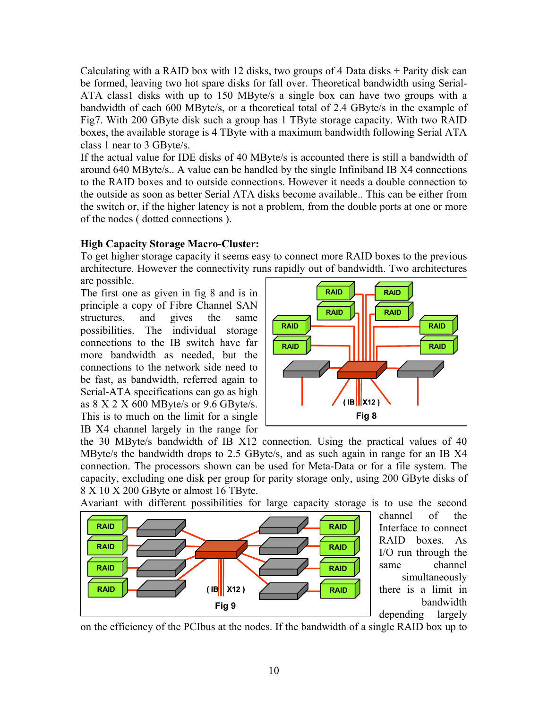Calculating with a RAID box with 12 disks, two groups of 4 Data disks + Parity disk can be formed, leaving two hot spare disks for fall over. Theoretical bandwidth using Serial-ATA class1 disks with up to 150 MByte/s a single box can have two groups with a bandwidth of each 600 MByte/s, or a theoretical total of 2.4 GByte/s in the example of Fig7. With 200 GByte disk such a group has 1 TByte storage capacity. With two RAID boxes, the available storage is 4 TByte with a maximum bandwidth following Serial ATA class 1 near to 3 GByte/s.

If the actual value for IDE disks of 40 MByte/s is accounted there is still a bandwidth of around 640 MByte/s.. A value can be handled by the single Infiniband IB X4 connections to the RAID boxes and to outside connections. However it needs a double connection to the outside as soon as better Serial ATA disks become available.. This can be either from the switch or, if the higher latency is not a problem, from the double ports at one or more of the nodes ( dotted connections ).

#### **High Capacity Storage Macro-Cluster:**

To get higher storage capacity it seems easy to connect more RAID boxes to the previous architecture. However the connectivity runs rapidly out of bandwidth. Two architectures are possible.

The first one as given in fig 8 and is in principle a copy of Fibre Channel SAN structures, and gives the same possibilities. The individual storage connections to the IB switch have far more bandwidth as needed, but the connections to the network side need to be fast, as bandwidth, referred again to Serial-ATA specifications can go as high as 8 X 2 X 600 MByte/s or 9.6 GByte/s. This is to much on the limit for a single IB X4 channel largely in the range for



the 30 MByte/s bandwidth of IB X12 connection. Using the practical values of 40 MByte/s the bandwidth drops to 2.5 GByte/s, and as such again in range for an IB X4 connection. The processors shown can be used for Meta-Data or for a file system. The capacity, excluding one disk per group for parity storage only, using 200 GByte disks of 8 X 10 X 200 GByte or almost 16 TByte.

Avariant with different possibilities for large capacity storage is to use the second



channel of the Interface to connect RAID boxes. As I/O run through the same channel simultaneously there is a limit in bandwidth depending largely

on the efficiency of the PCIbus at the nodes. If the bandwidth of a single RAID box up to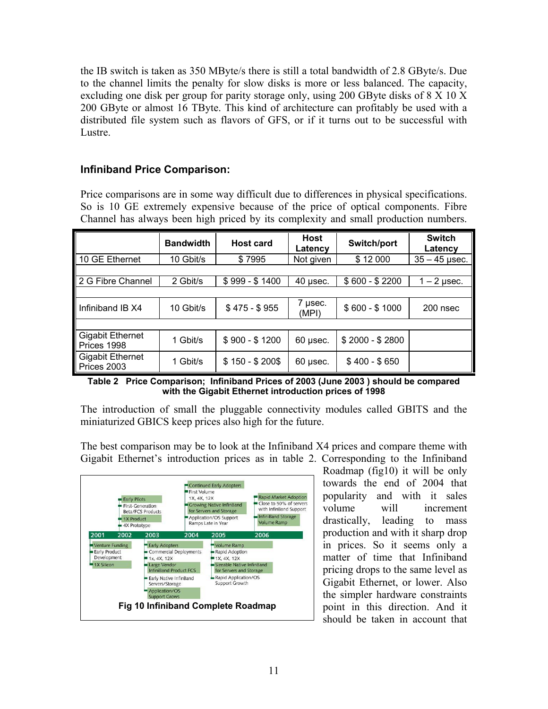the IB switch is taken as 350 MByte/s there is still a total bandwidth of 2.8 GByte/s. Due to the channel limits the penalty for slow disks is more or less balanced. The capacity, excluding one disk per group for parity storage only, using 200 GByte disks of 8 X 10 X 200 GByte or almost 16 TByte. This kind of architecture can profitably be used with a distributed file system such as flavors of GFS, or if it turns out to be successful with Lustre.

## **Infiniband Price Comparison:**

Price comparisons are in some way difficult due to differences in physical specifications. So is 10 GE extremely expensive because of the price of optical components. Fibre Channel has always been high priced by its complexity and small production numbers.

|                                        | <b>Bandwidth</b> | <b>Host card</b> | Host<br>Latencv  | Switch/port     | <b>Switch</b><br>Latency |
|----------------------------------------|------------------|------------------|------------------|-----------------|--------------------------|
| 10 GE Ethernet                         | 10 Gbit/s        | \$7995           | Not given        | \$12 000        | $35 - 45$ µsec.          |
|                                        |                  |                  |                  |                 |                          |
| 2 G Fibre Channel                      | 2 Gbit/s         | $$999 - $1400$   | $40$ µsec.       | $$600 - $2200$  | $1 - 2$ µsec.            |
|                                        |                  |                  |                  |                 |                          |
| Infiniband IB X4                       | 10 Gbit/s        | $$475 - $955$    | 7 µsec.<br>(MPI) | $$600 - $1000$  | 200 nsec                 |
|                                        |                  |                  |                  |                 |                          |
| <b>Gigabit Ethernet</b><br>Prices 1998 | 1 Gbit/s         | $$900 - $1200$   | $60$ µsec.       | $$2000 - $2800$ |                          |
| <b>Gigabit Ethernet</b><br>Prices 2003 | 1 Gbit/s         | $$150 - $200$$   | $60$ µsec.       | $$400 - $650$   |                          |

**Table 2 Price Comparison; Infiniband Prices of 2003 (June 2003 ) should be compared with the Gigabit Ethernet introduction prices of 1998** 

The introduction of small the pluggable connectivity modules called GBITS and the miniaturized GBICS keep prices also high for the future.

The best comparison may be to look at the Infiniband X4 prices and compare theme with Gigabit Ethernet's introduction prices as in table 2. Corresponding to the Infiniband



Roadmap (fig10) it will be only towards the end of 2004 that popularity and with it sales volume will increment drastically, leading to mass production and with it sharp drop in prices. So it seems only a matter of time that Infiniband pricing drops to the same level as Gigabit Ethernet, or lower. Also the simpler hardware constraints point in this direction. And it should be taken in account that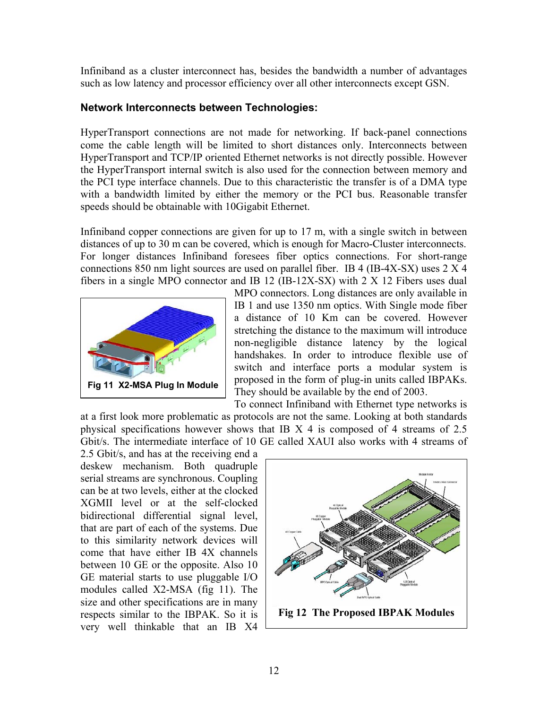Infiniband as a cluster interconnect has, besides the bandwidth a number of advantages such as low latency and processor efficiency over all other interconnects except GSN.

#### **Network Interconnects between Technologies:**

HyperTransport connections are not made for networking. If back-panel connections come the cable length will be limited to short distances only. Interconnects between HyperTransport and TCP/IP oriented Ethernet networks is not directly possible. However the HyperTransport internal switch is also used for the connection between memory and the PCI type interface channels. Due to this characteristic the transfer is of a DMA type with a bandwidth limited by either the memory or the PCI bus. Reasonable transfer speeds should be obtainable with 10Gigabit Ethernet.

Infiniband copper connections are given for up to 17 m, with a single switch in between distances of up to 30 m can be covered, which is enough for Macro-Cluster interconnects. For longer distances Infiniband foresees fiber optics connections. For short-range connections 850 nm light sources are used on parallel fiber. IB 4 (IB-4X-SX) uses 2 X 4 fibers in a single MPO connector and IB 12 (IB-12X-SX) with 2 X 12 Fibers uses dual



MPO connectors. Long distances are only available in IB 1 and use 1350 nm optics. With Single mode fiber a distance of 10 Km can be covered. However stretching the distance to the maximum will introduce non-negligible distance latency by the logical handshakes. In order to introduce flexible use of switch and interface ports a modular system is proposed in the form of plug-in units called IBPAKs. They should be available by the end of 2003.

To connect Infiniband with Ethernet type networks is at a first look more problematic as protocols are not the same. Looking at both standards physical specifications however shows that IB X 4 is composed of 4 streams of 2.5 Gbit/s. The intermediate interface of 10 GE called XAUI also works with 4 streams of

2.5 Gbit/s, and has at the receiving end a deskew mechanism. Both quadruple serial streams are synchronous. Coupling can be at two levels, either at the clocked XGMII level or at the self-clocked bidirectional differential signal level, that are part of each of the systems. Due to this similarity network devices will come that have either IB 4X channels between 10 GE or the opposite. Also 10 GE material starts to use pluggable I/O modules called X2-MSA (fig 11). The size and other specifications are in many respects similar to the IBPAK. So it is very well thinkable that an IB X4



**Fig 12 The Proposed IBPAK Modules**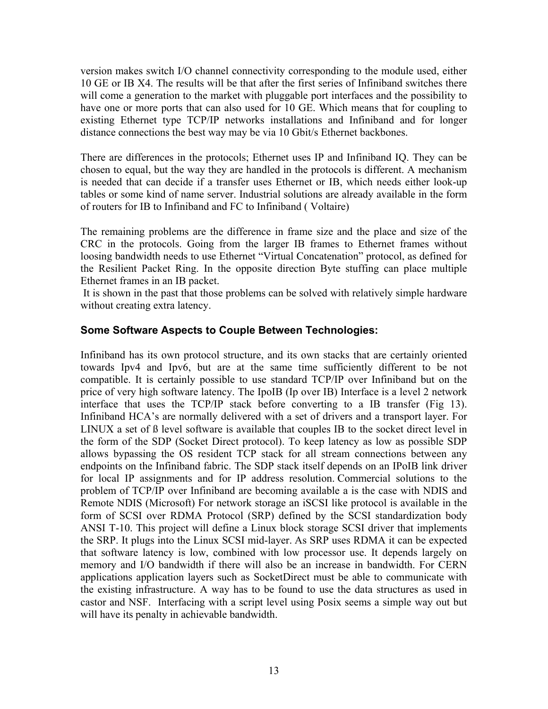version makes switch I/O channel connectivity corresponding to the module used, either 10 GE or IB X4. The results will be that after the first series of Infiniband switches there will come a generation to the market with pluggable port interfaces and the possibility to have one or more ports that can also used for 10 GE. Which means that for coupling to existing Ethernet type TCP/IP networks installations and Infiniband and for longer distance connections the best way may be via 10 Gbit/s Ethernet backbones.

There are differences in the protocols; Ethernet uses IP and Infiniband IQ. They can be chosen to equal, but the way they are handled in the protocols is different. A mechanism is needed that can decide if a transfer uses Ethernet or IB, which needs either look-up tables or some kind of name server. Industrial solutions are already available in the form of routers for IB to Infiniband and FC to Infiniband ( Voltaire)

The remaining problems are the difference in frame size and the place and size of the CRC in the protocols. Going from the larger IB frames to Ethernet frames without loosing bandwidth needs to use Ethernet "Virtual Concatenation" protocol, as defined for the Resilient Packet Ring. In the opposite direction Byte stuffing can place multiple Ethernet frames in an IB packet.

 It is shown in the past that those problems can be solved with relatively simple hardware without creating extra latency.

#### **Some Software Aspects to Couple Between Technologies:**

Infiniband has its own protocol structure, and its own stacks that are certainly oriented towards Ipv4 and Ipv6, but are at the same time sufficiently different to be not compatible. It is certainly possible to use standard TCP/IP over Infiniband but on the price of very high software latency. The IpoIB (Ip over IB) Interface is a level 2 network interface that uses the TCP/IP stack before converting to a IB transfer (Fig 13). Infiniband HCA's are normally delivered with a set of drivers and a transport layer. For LINUX a set of ß level software is available that couples IB to the socket direct level in the form of the SDP (Socket Direct protocol). To keep latency as low as possible SDP allows bypassing the OS resident TCP stack for all stream connections between any endpoints on the Infiniband fabric. The SDP stack itself depends on an IPoIB link driver for local IP assignments and for IP address resolution. Commercial solutions to the problem of TCP/IP over Infiniband are becoming available a is the case with NDIS and Remote NDIS (Microsoft) For network storage an iSCSI like protocol is available in the form of SCSI over RDMA Protocol (SRP) defined by the SCSI standardization body ANSI T-10. This project will define a Linux block storage SCSI driver that implements the SRP. It plugs into the Linux SCSI mid-layer. As SRP uses RDMA it can be expected that software latency is low, combined with low processor use. It depends largely on memory and I/O bandwidth if there will also be an increase in bandwidth. For CERN applications application layers such as SocketDirect must be able to communicate with the existing infrastructure. A way has to be found to use the data structures as used in castor and NSF. Interfacing with a script level using Posix seems a simple way out but will have its penalty in achievable bandwidth.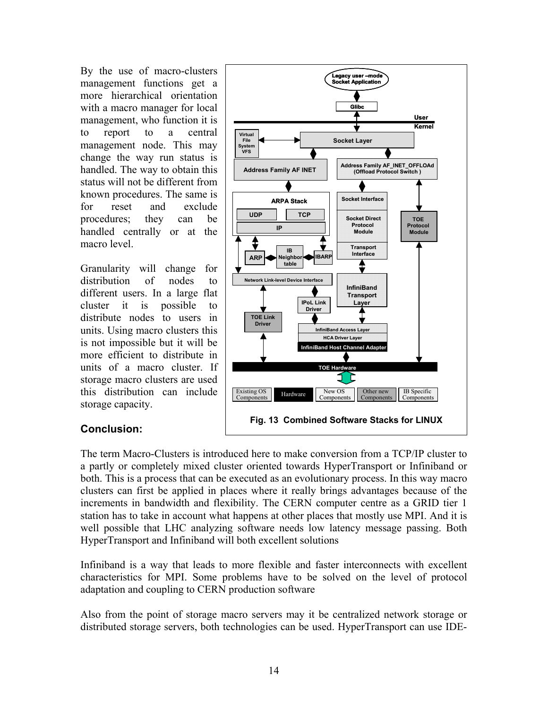By the use of macro-clusters management functions get a more hierarchical orientation with a macro manager for local management, who function it is to report to a central management node. This may change the way run status is handled. The way to obtain this status will not be different from known procedures. The same is for reset and exclude procedures; they can be handled centrally or at the macro level.

Granularity will change for distribution of nodes to different users. In a large flat cluster it is possible to distribute nodes to users in units. Using macro clusters this is not impossible but it will be more efficient to distribute in units of a macro cluster. If storage macro clusters are used this distribution can include storage capacity.



## **Conclusion:**

The term Macro-Clusters is introduced here to make conversion from a TCP/IP cluster to a partly or completely mixed cluster oriented towards HyperTransport or Infiniband or both. This is a process that can be executed as an evolutionary process. In this way macro clusters can first be applied in places where it really brings advantages because of the increments in bandwidth and flexibility. The CERN computer centre as a GRID tier 1 station has to take in account what happens at other places that mostly use MPI. And it is well possible that LHC analyzing software needs low latency message passing. Both HyperTransport and Infiniband will both excellent solutions

Infiniband is a way that leads to more flexible and faster interconnects with excellent characteristics for MPI. Some problems have to be solved on the level of protocol adaptation and coupling to CERN production software

Also from the point of storage macro servers may it be centralized network storage or distributed storage servers, both technologies can be used. HyperTransport can use IDE-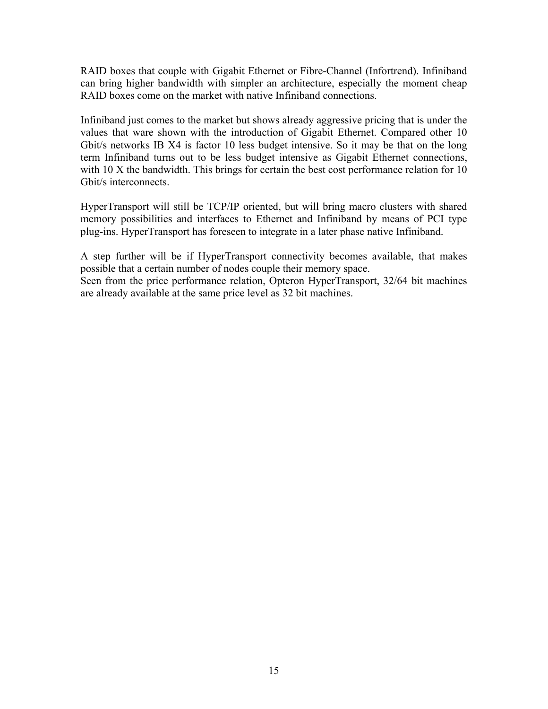RAID boxes that couple with Gigabit Ethernet or Fibre-Channel (Infortrend). Infiniband can bring higher bandwidth with simpler an architecture, especially the moment cheap RAID boxes come on the market with native Infiniband connections.

Infiniband just comes to the market but shows already aggressive pricing that is under the values that ware shown with the introduction of Gigabit Ethernet. Compared other 10 Gbit/s networks IB X4 is factor 10 less budget intensive. So it may be that on the long term Infiniband turns out to be less budget intensive as Gigabit Ethernet connections, with 10 X the bandwidth. This brings for certain the best cost performance relation for 10 Gbit/s interconnects.

HyperTransport will still be TCP/IP oriented, but will bring macro clusters with shared memory possibilities and interfaces to Ethernet and Infiniband by means of PCI type plug-ins. HyperTransport has foreseen to integrate in a later phase native Infiniband.

A step further will be if HyperTransport connectivity becomes available, that makes possible that a certain number of nodes couple their memory space.

Seen from the price performance relation, Opteron HyperTransport, 32/64 bit machines are already available at the same price level as 32 bit machines.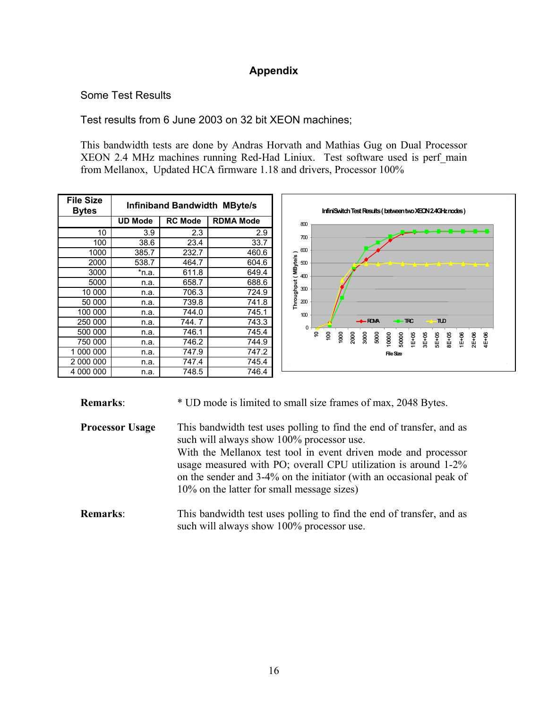## **Appendix**

## Some Test Results

Test results from 6 June 2003 on 32 bit XEON machines;

This bandwidth tests are done by Andras Horvath and Mathias Gug on Dual Processor XEON 2.4 MHz machines running Red-Had Liniux. Test software used is perf\_main from Mellanox, Updated HCA firmware 1.18 and drivers, Processor 100%

| <b>File Size</b><br><b>Bytes</b> | <b>Infiniband Bandwidth MByte/s</b> |                |                  |  |  |  |
|----------------------------------|-------------------------------------|----------------|------------------|--|--|--|
|                                  | <b>UD Mode</b>                      | <b>RC Mode</b> | <b>RDMA Mode</b> |  |  |  |
| 10                               | 3.9                                 | 2.3            | 2.9              |  |  |  |
| 100                              | 38.6                                | 23.4           | 33.7             |  |  |  |
| 1000                             | 385.7                               | 232.7          | 460.6            |  |  |  |
| 2000                             | 538.7                               | 464.7          | 604.6            |  |  |  |
| 3000                             | *n.a.                               | 611.8          | 649.4            |  |  |  |
| 5000                             | n.a.                                | 658.7          | 688.6            |  |  |  |
| 10 000                           | n.a.                                | 706.3          | 724.9            |  |  |  |
| 50 000                           | n.a.                                | 739.8          | 741.8            |  |  |  |
| 100 000                          | n.a.                                | 744.0          | 745.1            |  |  |  |
| 250 000                          | n.a.                                | 744.7          | 743.3            |  |  |  |
| 500 000                          | n.a.                                | 746.1          | 745.4            |  |  |  |
| 750 000                          | n.a.                                | 746.2          | 744.9            |  |  |  |
| 1 000 000                        | n.a.                                | 747.9          | 747.2            |  |  |  |
| 2 000 000                        | n.a.                                | 747.4          | 745.4            |  |  |  |
| 4 000 000                        | n.a.                                | 748.5          | 746.4            |  |  |  |



**Remarks:** \* UD mode is limited to small size frames of max, 2048 Bytes.

**Processor Usage** This bandwidth test uses polling to find the end of transfer, and as such will always show 100% processor use. With the Mellanox test tool in event driven mode and processor usage measured with PO; overall CPU utilization is around 1-2% on the sender and 3-4% on the initiator (with an occasional peak of 10% on the latter for small message sizes)

**Remarks:** This bandwidth test uses polling to find the end of transfer, and as such will always show 100% processor use.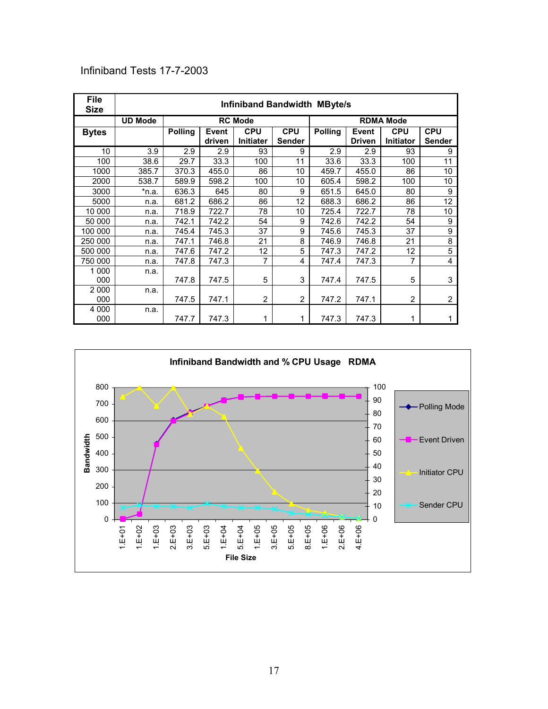## Infiniband Tests 17-7-2003

| <b>File</b><br><b>Size</b> | <b>Infiniband Bandwidth MByte/s</b> |                |                        |                                |                             |                |                        |                                |                             |
|----------------------------|-------------------------------------|----------------|------------------------|--------------------------------|-----------------------------|----------------|------------------------|--------------------------------|-----------------------------|
|                            | <b>UD Mode</b>                      |                |                        | <b>RC Mode</b>                 |                             |                |                        | <b>RDMA Mode</b>               |                             |
| <b>Bytes</b>               |                                     | <b>Polling</b> | <b>Event</b><br>driven | <b>CPU</b><br><b>Initiater</b> | <b>CPU</b><br><b>Sender</b> | <b>Polling</b> | Event<br><b>Driven</b> | <b>CPU</b><br><b>Initiator</b> | <b>CPU</b><br><b>Sender</b> |
| 10                         | 3.9                                 | 2.9            | 2.9                    | 93                             | 9                           | 2.9            | 2.9                    | 93                             | 9                           |
| 100                        | 38.6                                | 29.7           | 33.3                   | 100                            | 11                          | 33.6           | 33.3                   | 100                            | 11                          |
| 1000                       | 385.7                               | 370.3          | 455.0                  | 86                             | 10                          | 459.7          | 455.0                  | 86                             | 10                          |
| 2000                       | 538.7                               | 589.9          | 598.2                  | 100                            | 10                          | 605.4          | 598.2                  | 100                            | 10                          |
| 3000                       | *n.a.                               | 636.3          | 645                    | 80                             | 9                           | 651.5          | 645.0                  | 80                             | 9                           |
| 5000                       | n.a.                                | 681.2          | 686.2                  | 86                             | 12                          | 688.3          | 686.2                  | 86                             | 12                          |
| 10 000                     | n.a.                                | 718.9          | 722.7                  | 78                             | 10                          | 725.4          | 722.7                  | 78                             | 10                          |
| 50 000                     | n.a.                                | 742.1          | 742.2                  | 54                             | 9                           | 742.6          | 742.2                  | 54                             | 9                           |
| 100 000                    | n.a.                                | 745.4          | 745.3                  | 37                             | 9                           | 745.6          | 745.3                  | 37                             | 9                           |
| 250 000                    | n.a.                                | 747.1          | 746.8                  | 21                             | 8                           | 746.9          | 746.8                  | 21                             | 8                           |
| 500 000                    | n.a.                                | 747.6          | 747.2                  | 12                             | 5                           | 747.3          | 747.2                  | 12                             | $\overline{5}$              |
| 750 000                    | n.a.                                | 747.8          | 747.3                  | $\overline{7}$                 | 4                           | 747.4          | 747.3                  | $\overline{7}$                 | 4                           |
| 1 0 0 0                    | n.a.                                |                |                        |                                |                             |                |                        |                                |                             |
| 000                        |                                     | 747.8          | 747.5                  | 5                              | 3                           | 747.4          | 747.5                  | 5                              | 3                           |
| 2 0 0 0                    | n.a.                                |                |                        |                                |                             |                |                        |                                |                             |
| 000                        |                                     | 747.5          | 747.1                  | 2                              | $\overline{2}$              | 747.2          | 747.1                  | $\overline{c}$                 | $\overline{2}$              |
| 4 0 0 0<br>000             | n.a.                                | 747.7          | 747.3                  | 1                              | 1                           | 747.3          | 747.3                  | 1                              | 1                           |

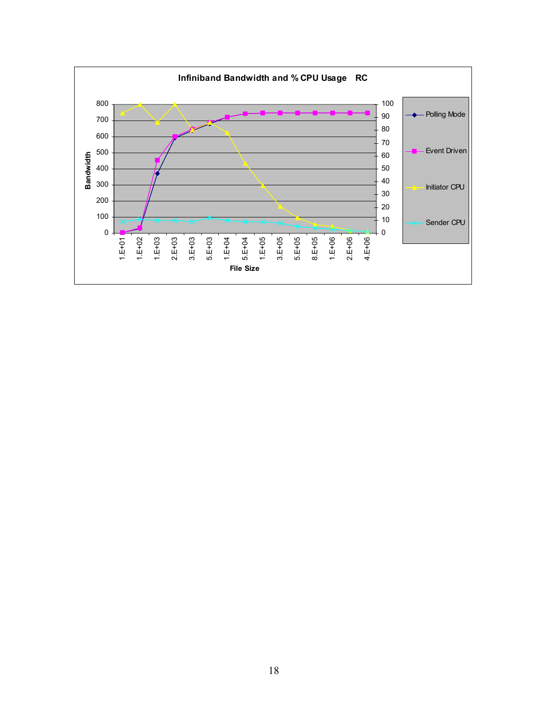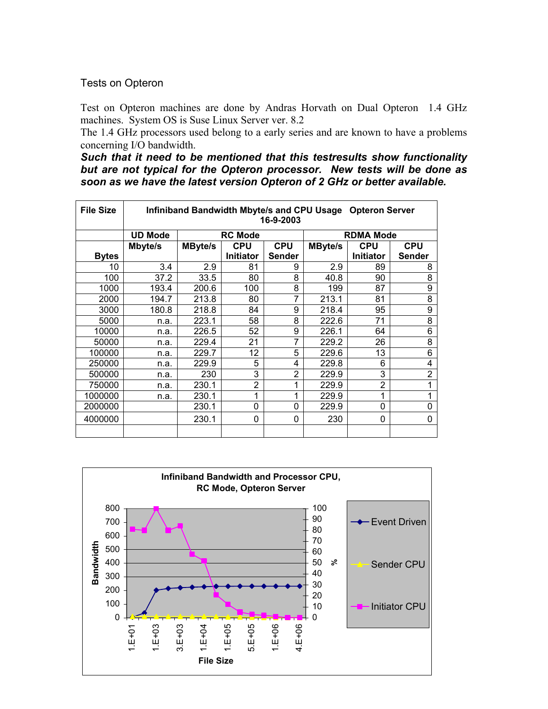#### Tests on Opteron

Test on Opteron machines are done by Andras Horvath on Dual Opteron 1.4 GHz machines. System OS is Suse Linux Server ver. 8.2

The 1.4 GHz processors used belong to a early series and are known to have a problems concerning I/O bandwidth.

*Such that it need to be mentioned that this testresults show functionality but are not typical for the Opteron processor. New tests will be done as soon as we have the latest version Opteron of 2 GHz or better available.* 

| <b>File Size</b> | Infiniband Bandwidth Mbyte/s and CPU Usage Opteron Server<br>16-9-2003 |                |                  |            |                |                  |                |  |
|------------------|------------------------------------------------------------------------|----------------|------------------|------------|----------------|------------------|----------------|--|
|                  | <b>UD Mode</b>                                                         |                | <b>RC Mode</b>   |            |                | <b>RDMA Mode</b> |                |  |
|                  | Mbyte/s                                                                | <b>MByte/s</b> | <b>CPU</b>       | <b>CPU</b> | <b>MByte/s</b> | <b>CPU</b>       | <b>CPU</b>     |  |
| <b>Bytes</b>     |                                                                        |                | <b>Initiator</b> | Sender     |                | Initiator        | Sender         |  |
| 10               | 3.4                                                                    | 2.9            | 81               | 9          | 2.9            | 89               | 8              |  |
| 100              | 37.2                                                                   | 33.5           | 80               | 8          | 40.8           | 90               | 8              |  |
| 1000             | 193.4                                                                  | 200.6          | 100              | 8          | 199            | 87               | 9              |  |
| 2000             | 194.7                                                                  | 213.8          | 80               | 7          | 213.1          | 81               | 8              |  |
| 3000             | 180.8                                                                  | 218.8          | 84               | 9          | 218.4          | 95               | 9              |  |
| 5000             | n.a.                                                                   | 223.1          | 58               | 8          | 222.6          | 71               | 8              |  |
| 10000            | n.a.                                                                   | 226.5          | 52               | 9          | 226.1          | 64               | 6              |  |
| 50000            | n.a.                                                                   | 229.4          | 21               | 7          | 229.2          | 26               | 8              |  |
| 100000           | n.a.                                                                   | 229.7          | 12               | 5          | 229.6          | 13               | 6              |  |
| 250000           | n.a.                                                                   | 229.9          | 5                | 4          | 229.8          | 6                | 4              |  |
| 500000           | n.a.                                                                   | 230            | 3                | 2          | 229.9          | 3                | $\overline{2}$ |  |
| 750000           | n.a.                                                                   | 230.1          | $\overline{2}$   | 1          | 229.9          | $\overline{2}$   | 1              |  |
| 1000000          | n.a.                                                                   | 230.1          | 1                | 1          | 229.9          | 1                |                |  |
| 2000000          |                                                                        | 230.1          | 0                | 0          | 229.9          | 0                | 0              |  |
| 4000000          |                                                                        | 230.1          | 0                | 0          | 230            | 0                | 0              |  |
|                  |                                                                        |                |                  |            |                |                  |                |  |

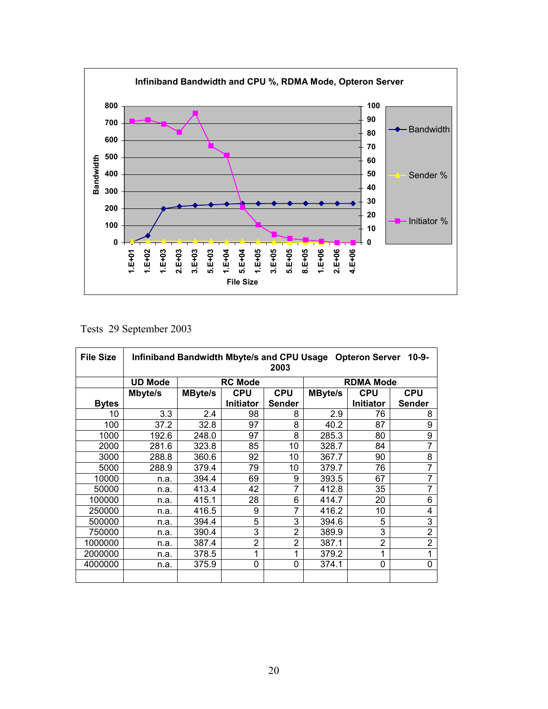

Tests 29 September 2003

| <b>File Size</b> | Infiniband Bandwidth Mbyte/s and CPU Usage Opteron Server<br>$10 - 9 -$<br>2003 |                |                  |               |                |                  |                |
|------------------|---------------------------------------------------------------------------------|----------------|------------------|---------------|----------------|------------------|----------------|
|                  | <b>UD Mode</b>                                                                  |                | <b>RC Mode</b>   |               |                | <b>RDMA Mode</b> |                |
|                  | Mbyte/s                                                                         | <b>MByte/s</b> | <b>CPU</b>       | <b>CPU</b>    | <b>MByte/s</b> | <b>CPU</b>       | <b>CPU</b>     |
| <b>Bytes</b>     |                                                                                 |                | <b>Initiator</b> | <b>Sender</b> |                | <b>Initiator</b> | <b>Sender</b>  |
| 10               | 3.3                                                                             | 2.4            | 98               | 8             | 2.9            | 76               | 8              |
| 100              | 37.2                                                                            | 32.8           | 97               | 8             | 40.2           | 87               | 9              |
| 1000             | 192.6                                                                           | 248.0          | 97               | 8             | 285.3          | 80               | 9              |
| 2000             | 281.6                                                                           | 323.8          | 85               | 10            | 328.7          | 84               | $\overline{7}$ |
| 3000             | 288.8                                                                           | 360.6          | 92               | 10            | 367.7          | 90               | 8              |
| 5000             | 288.9                                                                           | 379.4          | 79               | 10            | 379.7          | 76               | $\overline{7}$ |
| 10000            | n.a.                                                                            | 394.4          | 69               | 9             | 393.5          | 67               | 7              |
| 50000            | n.a.                                                                            | 413.4          | 42               | 7             | 412.8          | 35               | $\overline{7}$ |
| 100000           | n.a.                                                                            | 415.1          | 28               | 6             | 414.7          | 20               | 6              |
| 250000           | n.a.                                                                            | 416.5          | 9                | 7             | 416.2          | 10               | 4              |
| 500000           | n.a.                                                                            | 394.4          | 5                | 3             | 394.6          | 5                | 3              |
| 750000           | n.a.                                                                            | 390.4          | 3                | 2             | 389.9          | 3                | $\overline{2}$ |
| 1000000          | n.a.                                                                            | 387.4          | $\overline{2}$   | 2             | 387.1          | $\overline{2}$   | $\overline{2}$ |
| 2000000          | n.a.                                                                            | 378.5          | 1                | 1             | 379.2          | 1                | 1              |
| 4000000          | n.a.                                                                            | 375.9          | 0                | $\mathbf 0$   | 374.1          | 0                | $\mathbf 0$    |
|                  |                                                                                 |                |                  |               |                |                  |                |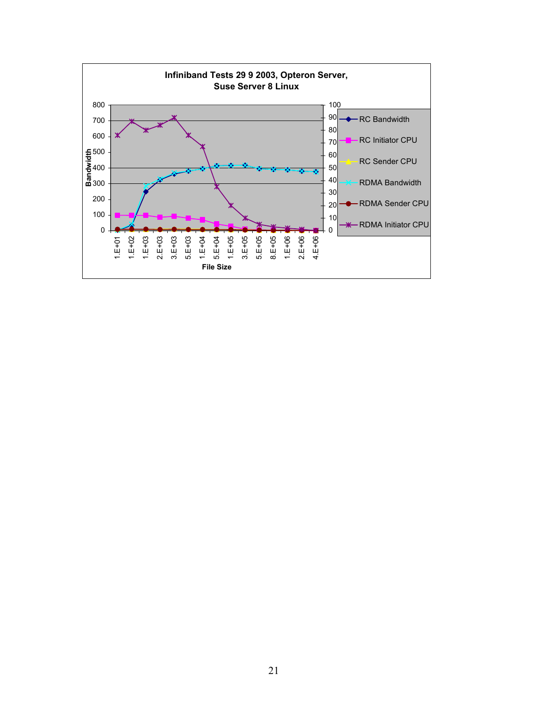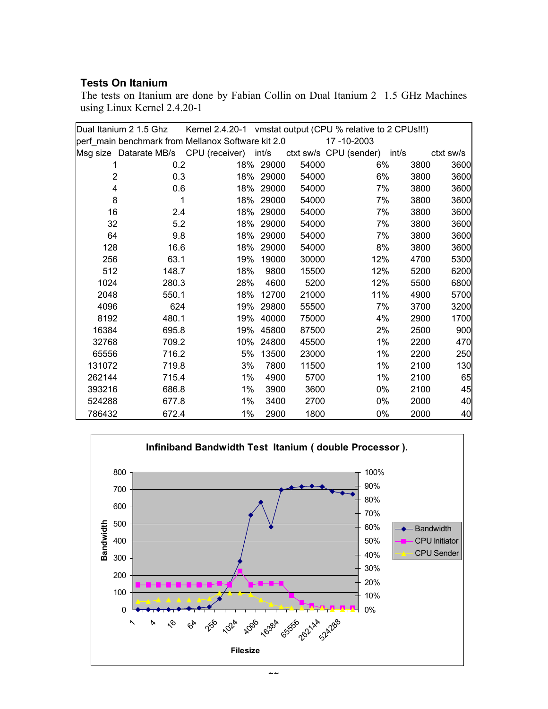#### **Tests On Itanium**

The tests on Itanium are done by Fabian Collin on Dual Itanium 2 1.5 GHz Machines using Linux Kernel 2.4.20-1

|                | Dual Itanium 2 1.5 Ghz | Kernel 2.4.20-1 vmstat output (CPU % relative to 2 CPUs!!!) |           |       |                              |      |           |
|----------------|------------------------|-------------------------------------------------------------|-----------|-------|------------------------------|------|-----------|
|                |                        | perf main benchmark from Mellanox Software kit 2.0          |           |       | 17-10-2003                   |      |           |
|                |                        | Msg size Datarate MB/s CPU (receiver) int/s                 |           |       | ctxt sw/s CPU (sender) int/s |      | ctxt sw/s |
|                | 0.2                    |                                                             | 18% 29000 | 54000 | 6%                           | 3800 | 3600      |
| $\overline{2}$ | 0.3                    | 18%                                                         | 29000     | 54000 | 6%                           | 3800 | 3600      |
| 4              | 0.6                    | 18%                                                         | 29000     | 54000 | 7%                           | 3800 | 3600      |
| 8              | 1                      | 18%                                                         | 29000     | 54000 | 7%                           | 3800 | 3600      |
| 16             | 2.4                    | 18%                                                         | 29000     | 54000 | 7%                           | 3800 | 3600      |
| 32             | 5.2                    | 18%                                                         | 29000     | 54000 | 7%                           | 3800 | 3600      |
| 64             | 9.8                    | 18%                                                         | 29000     | 54000 | 7%                           | 3800 | 3600      |
| 128            | 16.6                   | 18%                                                         | 29000     | 54000 | 8%                           | 3800 | 3600      |
| 256            | 63.1                   | 19%                                                         | 19000     | 30000 | 12%                          | 4700 | 5300      |
| 512            | 148.7                  | 18%                                                         | 9800      | 15500 | 12%                          | 5200 | 6200      |
| 1024           | 280.3                  | 28%                                                         | 4600      | 5200  | 12%                          | 5500 | 6800      |
| 2048           | 550.1                  | 18%                                                         | 12700     | 21000 | 11%                          | 4900 | 5700      |
| 4096           | 624                    | 19%                                                         | 29800     | 55500 | 7%                           | 3700 | 3200      |
| 8192           | 480.1                  | 19%                                                         | 40000     | 75000 | 4%                           | 2900 | 1700      |
| 16384          | 695.8                  | 19%                                                         | 45800     | 87500 | 2%                           | 2500 | 900       |
| 32768          | 709.2                  | 10%                                                         | 24800     | 45500 | $1\%$                        | 2200 | 470       |
| 65556          | 716.2                  | 5%                                                          | 13500     | 23000 | $1\%$                        | 2200 | 250       |
| 131072         | 719.8                  | 3%                                                          | 7800      | 11500 | $1\%$                        | 2100 | 130       |
| 262144         | 715.4                  | $1\%$                                                       | 4900      | 5700  | $1\%$                        | 2100 | 65        |
| 393216         | 686.8                  | 1%                                                          | 3900      | 3600  | 0%                           | 2100 | 45        |
| 524288         | 677.8                  | 1%                                                          | 3400      | 2700  | $0\%$                        | 2000 | 40        |
| 786432         | 672.4                  | 1%                                                          | 2900      | 1800  | 0%                           | 2000 | 40        |

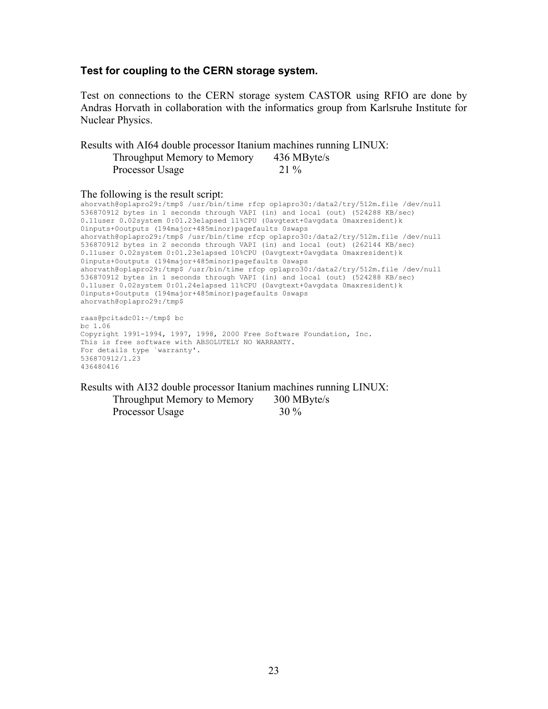#### **Test for coupling to the CERN storage system.**

Test on connections to the CERN storage system CASTOR using RFIO are done by Andras Horvath in collaboration with the informatics group from Karlsruhe Institute for Nuclear Physics.

Results with AI64 double processor Itanium machines running LINUX: Throughput Memory to Memory 436 MByte/s Processor Usage 21 %

The following is the result script:

ahorvath@oplapro29:/tmp\$ /usr/bin/time rfcp oplapro30:/data2/try/512m.file /dev/null 536870912 bytes in 1 seconds through VAPI (in) and local (out) (524288 KB/sec) 0.11user 0.02system 0:01.23elapsed 11%CPU (0avgtext+0avgdata 0maxresident)k 0inputs+0outputs (194major+485minor)pagefaults 0swaps ahorvath@oplapro29:/tmp\$ /usr/bin/time rfcp oplapro30:/data2/try/512m.file /dev/null 536870912 bytes in 2 seconds through VAPI (in) and local (out) (262144 KB/sec) 0.11user 0.02system 0:01.23elapsed 10%CPU (0avgtext+0avgdata 0maxresident)k 0inputs+0outputs (194major+485minor)pagefaults 0swaps ahorvath@oplapro29:/tmp\$ /usr/bin/time rfcp oplapro30:/data2/try/512m.file /dev/null 536870912 bytes in 1 seconds through VAPI (in) and local (out) (524288 KB/sec) 0.11user 0.02system 0:01.24elapsed 11%CPU (0avgtext+0avgdata 0maxresident)k 0inputs+0outputs (194major+485minor)pagefaults 0swaps ahorvath@oplapro29:/tmp\$ raas@pcitadc01:~/tmp\$ bc

bc 1.06 Copyright 1991-1994, 1997, 1998, 2000 Free Software Foundation, Inc. This is free software with ABSOLUTELY NO WARRANTY. For details type `warranty'. 536870912/1.23 436480416

Results with AI32 double processor Itanium machines running LINUX: Throughput Memory to Memory 300 MByte/s Processor Usage 30 %